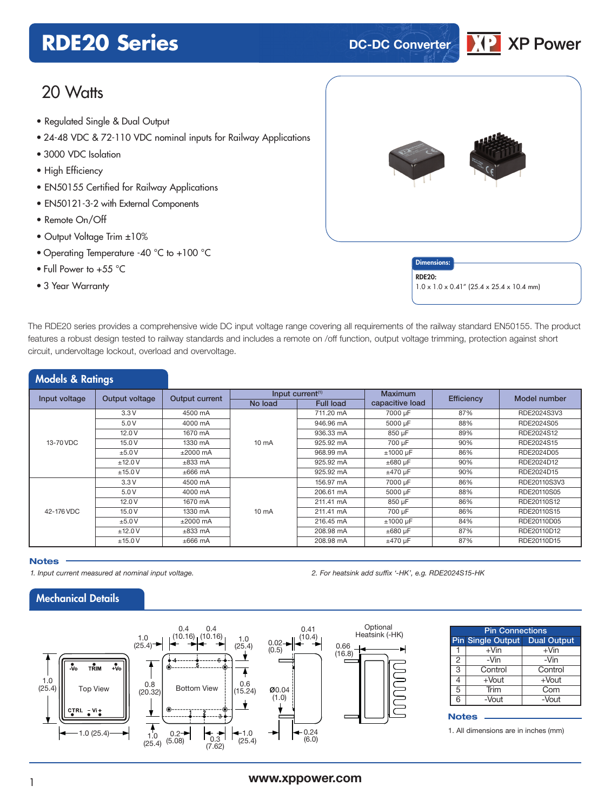## **RDE20 Series DC-DC** Converter



## 20 Watts

- **xxx Series** Regulated Single & Dual Output
- 24-48 VDC & 72-110 VDC nominal inputs for Railway Applications
- 3000 VDC Isolation
- High Efficiency
- EN50155 Certified for Railway Applications
- EN50121-3-2 with External Components
- Remote On/Off
- Output Voltage Trim ±10%
- Operating Temperature -40 °C to +100 °C
- Full Power to +55 °C
- 3 Year Warranty



**Dimensions** RDE20: 1.0 x 1.0 x 0.41" (25.4 x 25.4 x 10.4 mm)

The RDE20 series provides a comprehensive wide DC input voltage range covering all requirements of the railway standard EN50155. The product features a robust design tested to railway standards and includes a remote on /off function, output voltage trimming, protection against short circuit, undervoltage lockout, overload and overvoltage.

| <b>Models &amp; Ratings</b> |                |                |                 |                              |                 |            |              |  |
|-----------------------------|----------------|----------------|-----------------|------------------------------|-----------------|------------|--------------|--|
| Input voltage               | Output voltage | Output current |                 | Input current <sup>(1)</sup> | Maximum         | Efficiency | Model number |  |
|                             |                |                | No load         | <b>Full load</b>             | capacitive load |            |              |  |
| 13-70 VDC                   | 3.3V           | 4500 mA        |                 | 711.20 mA                    | 7000 µF         | 87%        | RDE2024S3V3  |  |
|                             | 5.0V           | 4000 mA        |                 | 946.96 mA                    | 5000 µF         | 88%        | RDE2024S05   |  |
|                             | 12.0V          | 1670 mA        |                 | 936.33 mA                    | 850 µF          | 89%        | RDE2024S12   |  |
|                             | 15.0V          | 1330 mA        | $10 \text{ mA}$ | 925.92 mA                    | 700 µF          | 90%        | RDE2024S15   |  |
|                             | ±5.0V          | $\pm 2000$ mA  |                 | 968.99 mA                    | ±1000 µF        | 86%        | RDE2024D05   |  |
|                             | ±12.0V         | $\pm 833$ mA   |                 | 925.92 mA                    | $\pm 680$ µF    | 90%        | RDE2024D12   |  |
|                             | ±15.0V         | $±666$ mA      |                 | 925.92 mA                    | $±470 \mu F$    | 90%        | RDE2024D15   |  |
|                             | 3.3V           | 4500 mA        |                 | 156.97 mA                    | 7000 µF         | 86%        | RDE20110S3V3 |  |
|                             | 5.0V           | 4000 mA        |                 | 206.61 mA                    | 5000 µF         | 88%        | RDE20110S05  |  |
|                             | 12.0V          | 1670 mA        |                 | 211.41 mA                    | 850 µF          | 86%        | RDE20110S12  |  |
| 42-176 VDC                  | 15.0V          | 1330 mA        | $10 \text{ mA}$ | 211.41 mA                    | 700 µF          | 86%        | RDE20110S15  |  |
|                             | ±5.0V          | $\pm 2000$ mA  |                 | 216.45 mA                    | $±1000 \mu F$   | 84%        | RDE20110D05  |  |
|                             | ±12.0V         | $\pm 833$ mA   |                 | 208.98 mA                    | $\pm 680$ µF    | 87%        | RDE20110D12  |  |
|                             | ±15.0V         | $\pm 666$ mA   |                 | 208.98 mA                    | $±470 \mu F$    | 87%        | RDE20110D15  |  |

#### **Notes**

*1. Input current measured at nominal input voltage. 2. For heatsink add suffix '-HK', e.g. RDE2024S15-HK*

### Mechanical Details



| <b>Pin Connections</b> |                               |          |  |  |  |  |  |
|------------------------|-------------------------------|----------|--|--|--|--|--|
|                        | Pin Single Output Dual Output |          |  |  |  |  |  |
|                        | $+V$ in                       | $+V$ in  |  |  |  |  |  |
| 2                      | -Vin                          | -Vin     |  |  |  |  |  |
| 3                      | Control                       | Control  |  |  |  |  |  |
|                        | $+$ Vout                      | $+$ Vout |  |  |  |  |  |
| 5                      | Trim                          | Com      |  |  |  |  |  |
| հ                      | -Vout                         | $-Vout$  |  |  |  |  |  |
|                        |                               |          |  |  |  |  |  |

#### **Notes**

1. All dimensions are in inches (mm)

### <sup>1</sup> **www.xppower.com**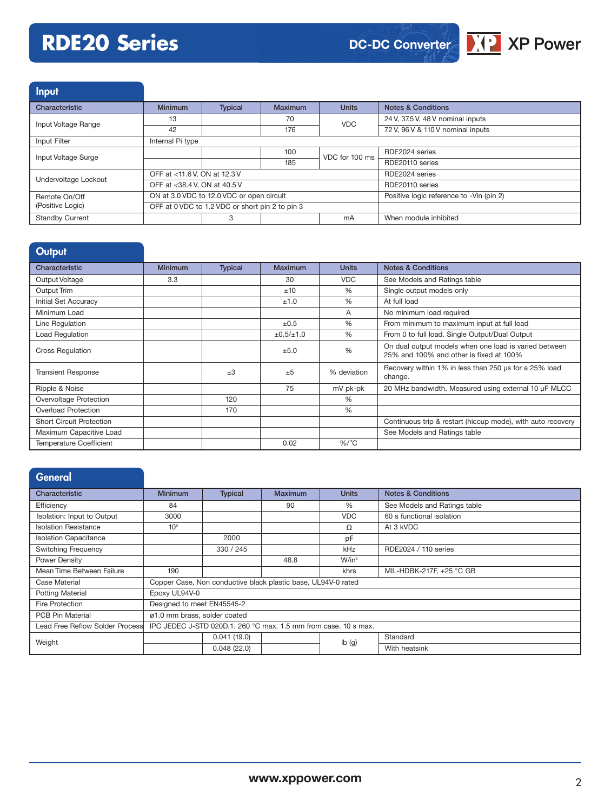# **RDE20 Series**



Input

| Characteristic         | <b>Minimum</b>               | <b>Typical</b>                                  | <b>Maximum</b> | <b>Units</b>                             | <b>Notes &amp; Conditions</b>     |
|------------------------|------------------------------|-------------------------------------------------|----------------|------------------------------------------|-----------------------------------|
| Input Voltage Range    | 13                           |                                                 | 70             | <b>VDC</b>                               | 24 V, 37.5 V, 48 V nominal inputs |
|                        | 42                           |                                                 | 176            |                                          | 72 V, 96 V & 110 V nominal inputs |
| Input Filter           | Internal Pi type             |                                                 |                |                                          |                                   |
| Input Voltage Surge    |                              |                                                 | 100            | VDC for 100 ms                           | RDE2024 series                    |
|                        |                              |                                                 | 185            |                                          | RDE20110 series                   |
| Undervoltage Lockout   | OFF at <11.6 V, ON at 12.3 V |                                                 |                | RDE2024 series                           |                                   |
|                        | OFF at <38.4 V, ON at 40.5 V |                                                 |                | RDE20110 series                          |                                   |
| Remote On/Off          |                              | ON at 3.0 VDC to 12.0 VDC or open circuit       |                | Positive logic reference to -Vin (pin 2) |                                   |
| (Positive Logic)       |                              | OFF at 0 VDC to 1.2 VDC or short pin 2 to pin 3 |                |                                          |                                   |
| <b>Standby Current</b> |                              | 3                                               |                | mA                                       | When module inhibited             |

| <b>Output</b>                  |                |                |                     |               |                                                                                                  |
|--------------------------------|----------------|----------------|---------------------|---------------|--------------------------------------------------------------------------------------------------|
| Characteristic                 | <b>Minimum</b> | <b>Typical</b> | <b>Maximum</b>      | <b>Units</b>  | <b>Notes &amp; Conditions</b>                                                                    |
| Output Voltage                 | 3.3            |                | 30                  | <b>VDC</b>    | See Models and Ratings table                                                                     |
| Output Trim                    |                |                | ±10                 | %             | Single output models only                                                                        |
| <b>Initial Set Accuracy</b>    |                |                | ±1.0                | $\frac{9}{6}$ | At full load                                                                                     |
| Minimum Load                   |                |                |                     | A             | No minimum load required                                                                         |
| Line Regulation                |                |                | $\pm 0.5$           | $\%$          | From minimum to maximum input at full load                                                       |
| Load Regulation                |                |                | $\pm 0.5 / \pm 1.0$ | $\%$          | From 0 to full load. Single Output/Dual Output                                                   |
| <b>Cross Regulation</b>        |                |                | ±5.0                | $\frac{9}{6}$ | On dual output models when one load is varied between<br>25% and 100% and other is fixed at 100% |
| <b>Transient Response</b>      |                | $+3$           | $+5$                | % deviation   | Recovery within 1% in less than 250 us for a 25% load<br>change.                                 |
| Ripple & Noise                 |                |                | 75                  | mV pk-pk      | 20 MHz bandwidth. Measured using external 10 µF MLCC                                             |
| Overvoltage Protection         |                | 120            |                     | %             |                                                                                                  |
| Overload Protection            |                | 170            |                     | $\frac{0}{0}$ |                                                                                                  |
| Short Circuit Protection       |                |                |                     |               | Continuous trip & restart (hiccup mode), with auto recovery                                      |
| Maximum Capacitive Load        |                |                |                     |               | See Models and Ratings table                                                                     |
| <b>Temperature Coefficient</b> |                |                | 0.02                | $%$ /°C       |                                                                                                  |

## **General**

| Characteristic                  | <b>Minimum</b>                                                  | <b>Typical</b>                                                | Maximum | <b>Units</b>      | <b>Notes &amp; Conditions</b> |  |
|---------------------------------|-----------------------------------------------------------------|---------------------------------------------------------------|---------|-------------------|-------------------------------|--|
| Efficiency                      | 84                                                              |                                                               | 90      | $\%$              | See Models and Ratings table  |  |
| Isolation: Input to Output      | 3000                                                            |                                                               |         | <b>VDC</b>        | 60 s functional isolation     |  |
| <b>Isolation Resistance</b>     | 10 <sup>9</sup>                                                 |                                                               |         | Ω                 | At 3 kVDC                     |  |
| <b>Isolation Capacitance</b>    |                                                                 | 2000                                                          |         | рF                |                               |  |
| <b>Switching Frequency</b>      |                                                                 | 330 / 245                                                     |         | kHz               | RDE2024 / 110 series          |  |
| Power Density                   |                                                                 |                                                               | 48.8    | $W/in^3$          |                               |  |
| Mean Time Between Failure       | 190                                                             |                                                               |         | khrs              | MIL-HDBK-217F, +25 °C GB      |  |
| Case Material                   |                                                                 | Copper Case, Non conductive black plastic base, UL94V-0 rated |         |                   |                               |  |
| <b>Potting Material</b>         | Epoxy UL94V-0                                                   |                                                               |         |                   |                               |  |
| Fire Protection                 | Designed to meet EN45545-2                                      |                                                               |         |                   |                               |  |
| <b>PCB Pin Material</b>         | ø1.0 mm brass, solder coated                                    |                                                               |         |                   |                               |  |
| Lead Free Reflow Solder Process | IPC JEDEC J-STD 020D.1, 260 °C max, 1.5 mm from case, 10 s max. |                                                               |         |                   |                               |  |
|                                 |                                                                 | 0.041(19.0)                                                   |         | $I\mathbf{b}$ (g) | Standard                      |  |
| Weight                          |                                                                 | 0.048(22.0)                                                   |         |                   | With heatsink                 |  |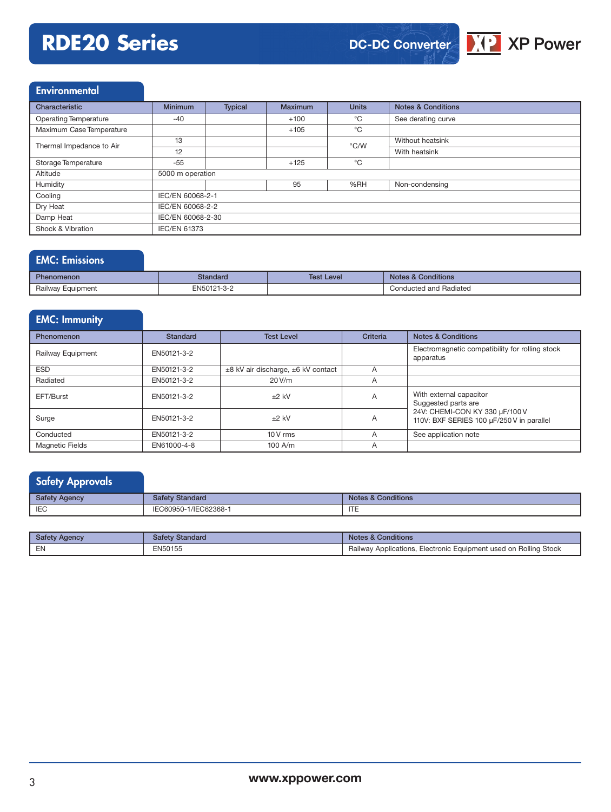## **RDE20 Series**



### **Environmental**

| Characteristic                 | <b>Minimum</b>      | <b>Typical</b> | Maximum | <b>Units</b>  | <b>Notes &amp; Conditions</b> |  |  |
|--------------------------------|---------------------|----------------|---------|---------------|-------------------------------|--|--|
| <b>Operating Temperature</b>   | $-40$               |                | $+100$  | °C            | See derating curve            |  |  |
| Maximum Case Temperature       |                     |                | $+105$  | $^{\circ}$ C  |                               |  |  |
| Thermal Impedance to Air       | 13                  |                |         | $\degree$ C/W | Without heatsink              |  |  |
|                                | 12                  |                |         |               | With heatsink                 |  |  |
| Storage Temperature            | -55                 |                | $+125$  | $^{\circ}$ C  |                               |  |  |
| Altitude                       | 5000 m operation    |                |         |               |                               |  |  |
| Humidity                       |                     |                | 95      | %RH           | Non-condensing                |  |  |
| Cooling                        | IEC/EN 60068-2-1    |                |         |               |                               |  |  |
| Dry Heat                       | IEC/EN 60068-2-2    |                |         |               |                               |  |  |
| Damp Heat<br>IEC/EN 60068-2-30 |                     |                |         |               |                               |  |  |
| Shock & Vibration              | <b>IEC/EN 61373</b> |                |         |               |                               |  |  |

## EMC: Emissions

| Phenomenon        | Standard    | Test Level | Conditions<br>Notes &  |
|-------------------|-------------|------------|------------------------|
| Railway Equipment | EN50121-3-2 |            | Conducted and Radiated |

| <b>EMC: Immunity</b>   |                 |                                    |          |                                                                             |
|------------------------|-----------------|------------------------------------|----------|-----------------------------------------------------------------------------|
| Phenomenon             | <b>Standard</b> | <b>Test Level</b>                  | Criteria | <b>Notes &amp; Conditions</b>                                               |
| Railway Equipment      | EN50121-3-2     |                                    |          | Electromagnetic compatibility for rolling stock<br>apparatus                |
| <b>ESD</b>             | EN50121-3-2     | ±8 kV air discharge, ±6 kV contact | A        |                                                                             |
| Radiated               | EN50121-3-2     | 20 V/m                             | A        |                                                                             |
| EFT/Burst              | EN50121-3-2     | $±2$ kV                            | A        | With external capacitor<br>Suggested parts are                              |
| Surge                  | EN50121-3-2     | $±2$ kV                            | A        | 24V: CHEMI-CON KY 330 µF/100 V<br>110V: BXF SERIES 100 µF/250 V in parallel |
| Conducted              | EN50121-3-2     | $10V$ rms                          | A        | See application note                                                        |
| <b>Magnetic Fields</b> | EN61000-4-8     | $100$ A/m                          | A        |                                                                             |

## Safety Approvals Safety Agency Safety Standard Safety Standard Notes & Conditions IEC IEC60950-1/IEC60950-1/IEC62368-1

| Safety Agency | <b>Safety Standard</b> | <b>Notes &amp; Conditions</b>                                    |
|---------------|------------------------|------------------------------------------------------------------|
| EN            | EN50155                | Railway Applications, Electronic Equipment used on Rolling Stock |